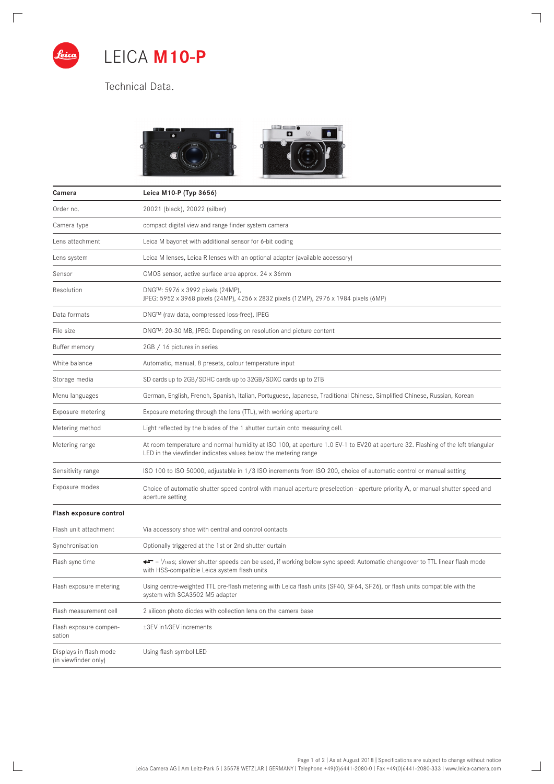

 $\Box$ 

 $\mathbb{R}$ 

## LEICA **M10-P**

Technical Data.



 $\overline{\phantom{a}}$ 

 $\Box$ 

| Camera                                         | Leica M10-P (Typ 3656)                                                                                                                                                                              |
|------------------------------------------------|-----------------------------------------------------------------------------------------------------------------------------------------------------------------------------------------------------|
| Order no.                                      | 20021 (black), 20022 (silber)                                                                                                                                                                       |
| Camera type                                    | compact digital view and range finder system camera                                                                                                                                                 |
| Lens attachment                                | Leica M bayonet with additional sensor for 6-bit coding                                                                                                                                             |
| Lens system                                    | Leica M lenses, Leica R lenses with an optional adapter (available accessory)                                                                                                                       |
| Sensor                                         | CMOS sensor, active surface area approx. 24 x 36mm                                                                                                                                                  |
| Resolution                                     | DNG™: 5976 x 3992 pixels (24MP),<br>JPEG: 5952 x 3968 pixels (24MP), 4256 x 2832 pixels (12MP), 2976 x 1984 pixels (6MP)                                                                            |
| Data formats                                   | DNG™ (raw data, compressed loss-free), JPEG                                                                                                                                                         |
| File size                                      | DNG™: 20-30 MB, JPEG: Depending on resolution and picture content                                                                                                                                   |
| Buffer memory                                  | 2GB / 16 pictures in series                                                                                                                                                                         |
| White balance                                  | Automatic, manual, 8 presets, colour temperature input                                                                                                                                              |
| Storage media                                  | SD cards up to 2GB/SDHC cards up to 32GB/SDXC cards up to 2TB                                                                                                                                       |
| Menu languages                                 | German, English, French, Spanish, Italian, Portuguese, Japanese, Traditional Chinese, Simplified Chinese, Russian, Korean                                                                           |
| Exposure metering                              | Exposure metering through the lens (TTL), with working aperture                                                                                                                                     |
| Metering method                                | Light reflected by the blades of the 1 shutter curtain onto measuring cell.                                                                                                                         |
| Metering range                                 | At room temperature and normal humidity at ISO 100, at aperture 1.0 EV-1 to EV20 at aperture 32. Flashing of the left triangular<br>LED in the viewfinder indicates values below the metering range |
| Sensitivity range                              | ISO 100 to ISO 50000, adjustable in 1/3 ISO increments from ISO 200, choice of automatic control or manual setting                                                                                  |
| Exposure modes                                 | Choice of automatic shutter speed control with manual aperture preselection - aperture priority A, or manual shutter speed and<br>aperture setting                                                  |
| Flash exposure control                         |                                                                                                                                                                                                     |
| Flash unit attachment                          | Via accessory shoe with central and control contacts                                                                                                                                                |
| Synchronisation                                | Optionally triggered at the 1st or 2nd shutter curtain                                                                                                                                              |
| Flash sync time                                | →► = 1/ <sub>180</sub> s; slower shutter speeds can be used, if working below sync speed: Automatic changeover to TTL linear flash mode<br>with HSS-compatible Leica system flash units             |
| Flash exposure metering                        | Using centre-weighted TTL pre-flash metering with Leica flash units (SF40, SF64, SF26), or flash units compatible with the<br>system with SCA3502 M5 adapter                                        |
| Flash measurement cell                         | 2 silicon photo diodes with collection lens on the camera base                                                                                                                                      |
| Flash exposure compen-<br>sation               | ±3EV in1/3EV increments                                                                                                                                                                             |
| Displays in flash mode<br>(in viewfinder only) | Using flash symbol LED                                                                                                                                                                              |